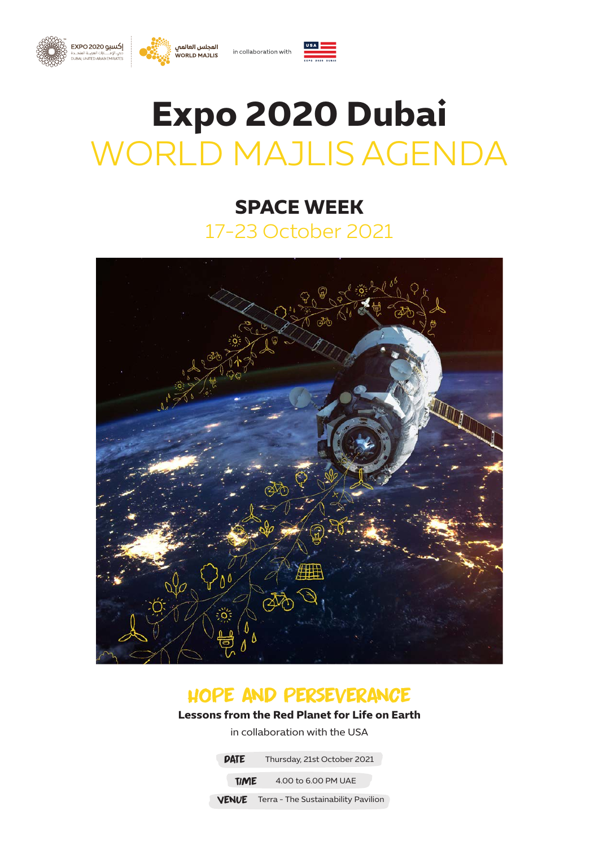





# **Expo 2020 Dubai** WORLD MAJLIS AGENDA

# **SPACE WEEK** 17-23 October 2021



## hope and perseverance

### **Lessons from the Red Planet for Life on Earth**

in collaboration with the USA

**DATE** Thursday, 21st October 2021

**TIME** 4.00 to 6.00 PM UAE

**VENUE** Terra - The Sustainability Pavilion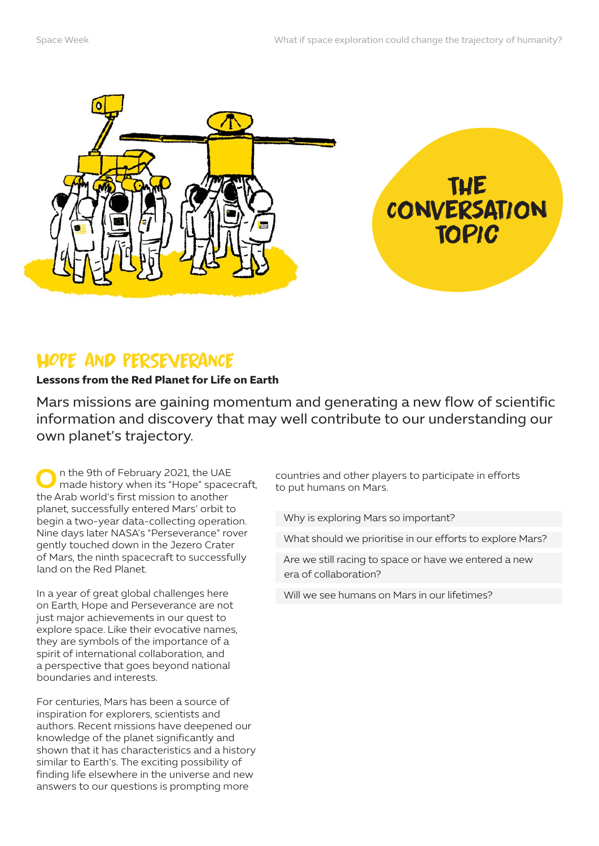

The Conversation Topic

## HOPE AND PERSEVERANCE

#### **Lessons from the Red Planet for Life on Earth**

Mars missions are gaining momentum and generating a new flow of scientific information and discovery that may well contribute to our understanding our own planet's trajectory.

**O**n the 9th of February 2021, the UAE made history when its "Hope" spacecraft, the Arab world's first mission to another planet, successfully entered Mars' orbit to begin a two-year data-collecting operation. Nine days later NASA's "Perseverance" rover gently touched down in the Jezero Crater of Mars, the ninth spacecraft to successfully land on the Red Planet.

In a year of great global challenges here on Earth, Hope and Perseverance are not just major achievements in our quest to explore space. Like their evocative names, they are symbols of the importance of a spirit of international collaboration, and a perspective that goes beyond national boundaries and interests.

For centuries, Mars has been a source of inspiration for explorers, scientists and authors. Recent missions have deepened our knowledge of the planet significantly and shown that it has characteristics and a history similar to Earth's. The exciting possibility of finding life elsewhere in the universe and new answers to our questions is prompting more

countries and other players to participate in efforts to put humans on Mars.

Why is exploring Mars so important?

What should we prioritise in our efforts to explore Mars?

Are we still racing to space or have we entered a new era of collaboration?

Will we see humans on Mars in our lifetimes?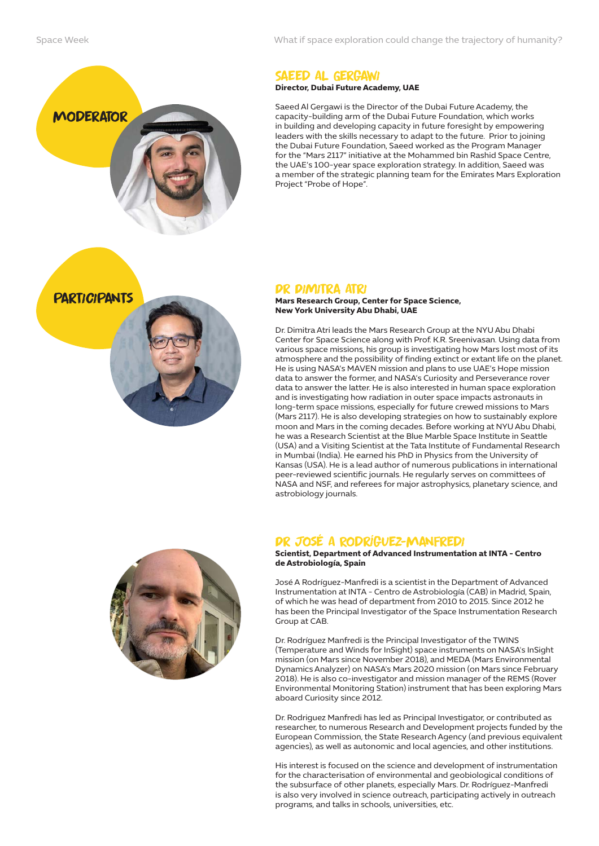

What if space exploration could change the trajectory of humanity?

## Saeed Al Gergawi

**Director, Dubai Future Academy, UAE** 

Saeed Al Gergawi is the Director of the Dubai Future Academy, the capacity-building arm of the Dubai Future Foundation, which works in building and developing capacity in future foresight by empowering leaders with the skills necessary to adapt to the future. Prior to joining the Dubai Future Foundation, Saeed worked as the Program Manager for the "Mars 2117" initiative at the Mohammed bin Rashid Space Centre, the UAE's 100-year space exploration strategy. In addition, Saeed was a member of the strategic planning team for the Emirates Mars Exploration Project "Probe of Hope".



#### Dr Dimitra Atri

**Mars Research Group, Center for Space Science, New York University Abu Dhabi, UAE** 

Dr. Dimitra Atri leads the Mars Research Group at the NYU Abu Dhabi Center for Space Science along with Prof. K.R. Sreenivasan. Using data from various space missions, his group is investigating how Mars lost most of its atmosphere and the possibility of finding extinct or extant life on the planet. He is using NASA's MAVEN mission and plans to use UAE's Hope mission data to answer the former, and NASA's Curiosity and Perseverance rover data to answer the latter. He is also interested in human space exploration and is investigating how radiation in outer space impacts astronauts in long-term space missions, especially for future crewed missions to Mars (Mars 2117). He is also developing strategies on how to sustainably explore moon and Mars in the coming decades. Before working at NYU Abu Dhabi, he was a Research Scientist at the Blue Marble Space Institute in Seattle (USA) and a Visiting Scientist at the Tata Institute of Fundamental Research in Mumbai (India). He earned his PhD in Physics from the University of Kansas (USA). He is a lead author of numerous publications in international peer-reviewed scientific journals. He regularly serves on committees of NASA and NSF, and referees for major astrophysics, planetary science, and astrobiology journals.



#### Dr José A Rodríguez-Manfredi

**Scientist, Department of Advanced Instrumentation at INTA - Centro de Astrobiología, Spain**

José A Rodríguez-Manfredi is a scientist in the Department of Advanced Instrumentation at INTA - Centro de Astrobiología (CAB) in Madrid, Spain, of which he was head of department from 2010 to 2015. Since 2012 he has been the Principal Investigator of the Space Instrumentation Research Group at CAB.

Dr. Rodríguez Manfredi is the Principal Investigator of the TWINS (Temperature and Winds for InSight) space instruments on NASA's InSight mission (on Mars since November 2018), and MEDA (Mars Environmental Dynamics Analyzer) on NASA's Mars 2020 mission (on Mars since February 2018). He is also co-investigator and mission manager of the REMS (Rover Environmental Monitoring Station) instrument that has been exploring Mars aboard Curiosity since 2012.

Dr. Rodriguez Manfredi has led as Principal Investigator, or contributed as researcher, to numerous Research and Development projects funded by the European Commission, the State Research Agency (and previous equivalent agencies), as well as autonomic and local agencies, and other institutions.

His interest is focused on the science and development of instrumentation for the characterisation of environmental and geobiological conditions of the subsurface of other planets, especially Mars. Dr. Rodríguez-Manfredi is also very involved in science outreach, participating actively in outreach programs, and talks in schools, universities, etc.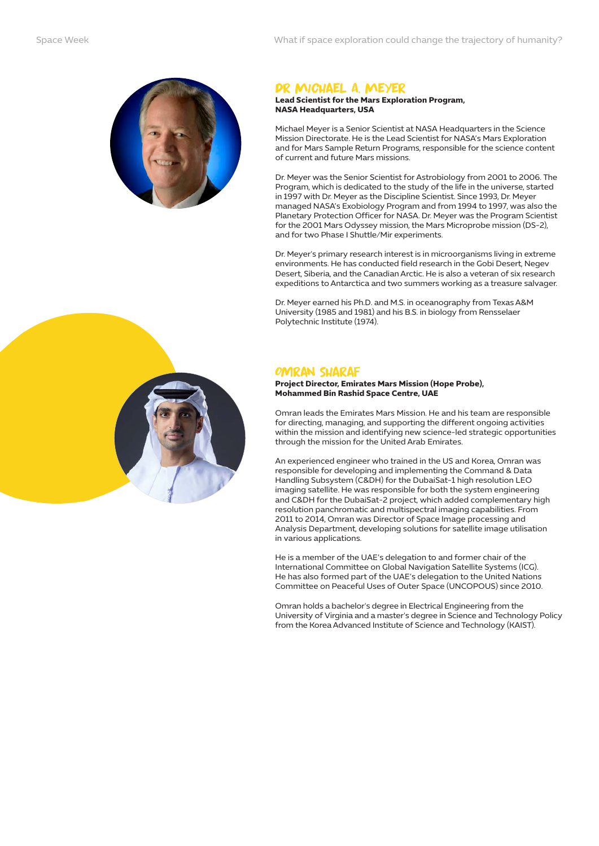

#### Dr Michael A. Meyer

#### **Lead Scientist for the Mars Exploration Program, NASA Headquarters, USA**

Michael Meyer is a Senior Scientist at NASA Headquarters in the Science Mission Directorate. He is the Lead Scientist for NASA's Mars Exploration and for Mars Sample Return Programs, responsible for the science content of current and future Mars missions.

Dr. Meyer was the Senior Scientist for Astrobiology from 2001 to 2006. The Program, which is dedicated to the study of the life in the universe, started in 1997 with Dr. Meyer as the Discipline Scientist. Since 1993, Dr. Meyer managed NASA's Exobiology Program and from 1994 to 1997, was also the Planetary Protection Officer for NASA. Dr. Meyer was the Program Scientist for the 2001 Mars Odyssey mission, the Mars Microprobe mission (DS-2), and for two Phase I Shuttle/Mir experiments.

Dr. Meyer's primary research interest is in microorganisms living in extreme environments. He has conducted field research in the Gobi Desert, Negev Desert, Siberia, and the Canadian Arctic. He is also a veteran of six research expeditions to Antarctica and two summers working as a treasure salvager.

Dr. Meyer earned his Ph.D. and M.S. in oceanography from Texas A&M University (1985 and 1981) and his B.S. in biology from Rensselaer Polytechnic Institute (1974).

#### OMRAN SHARAF

**Project Director, Emirates Mars Mission (Hope Probe), Mohammed Bin Rashid Space Centre, UAE**

Omran leads the Emirates Mars Mission. He and his team are responsible for directing, managing, and supporting the different ongoing activities within the mission and identifying new science-led strategic opportunities through the mission for the United Arab Emirates.

An experienced engineer who trained in the US and Korea, Omran was responsible for developing and implementing the Command & Data Handling Subsystem (C&DH) for the DubaiSat-1 high resolution LEO imaging satellite. He was responsible for both the system engineering and C&DH for the DubaiSat-2 project, which added complementary high resolution panchromatic and multispectral imaging capabilities. From 2011 to 2014, Omran was Director of Space Image processing and Analysis Department, developing solutions for satellite image utilisation in various applications.

He is a member of the UAE's delegation to and former chair of the International Committee on Global Navigation Satellite Systems (ICG). He has also formed part of the UAE's delegation to the United Nations Committee on Peaceful Uses of Outer Space (UNCOPOUS) since 2010.

Omran holds a bachelor's degree in Electrical Engineering from the University of Virginia and a master's degree in Science and Technology Policy from the Korea Advanced Institute of Science and Technology (KAIST).